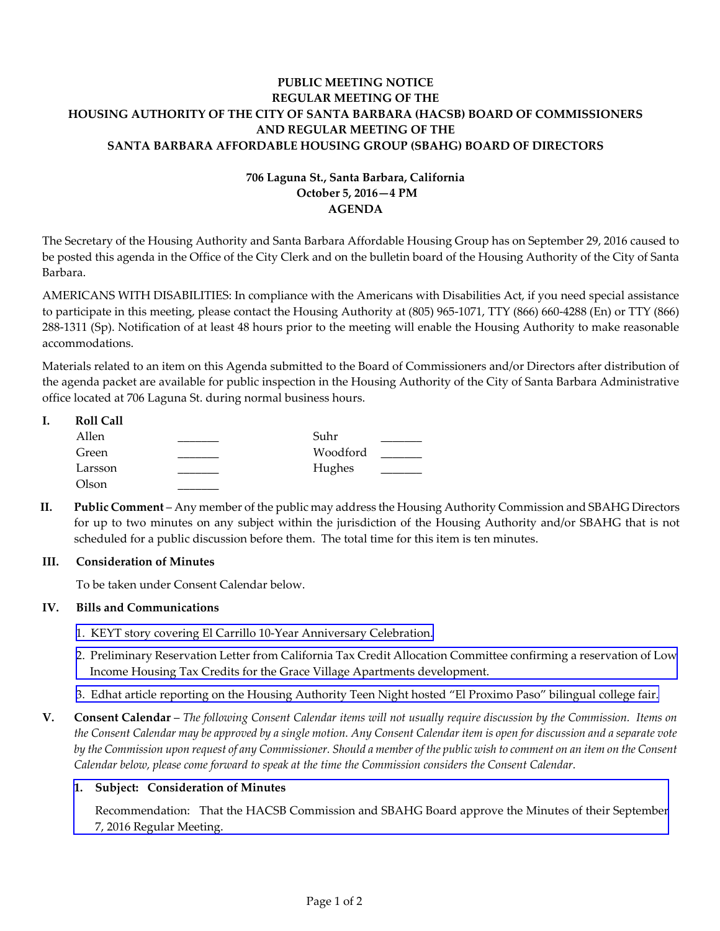# **PUBLIC MEETING NOTICE REGULAR MEETING OF THE HOUSING AUTHORITY OF THE CITY OF SANTA BARBARA (HACSB) BOARD OF COMMISSIONERS AND REGULAR MEETING OF THE SANTA BARBARA AFFORDABLE HOUSING GROUP (SBAHG) BOARD OF DIRECTORS**

## **706 Laguna St., Santa Barbara, California October 5, 2016—4 PM AGENDA**

The Secretary of the Housing Authority and Santa Barbara Affordable Housing Group has on September 29, 2016 caused to be posted this agenda in the Office of the City Clerk and on the bulletin board of the Housing Authority of the City of Santa Barbara.

AMERICANS WITH DISABILITIES: In compliance with the Americans with Disabilities Act, if you need special assistance to participate in this meeting, please contact the Housing Authority at (805) 965‐1071, TTY (866) 660‐4288 (En) or TTY (866) 288‐1311 (Sp). Notification of at least 48 hours prior to the meeting will enable the Housing Authority to make reasonable accommodations.

Materials related to an item on this Agenda submitted to the Board of Commissioners and/or Directors after distribution of the agenda packet are available for public inspection in the Housing Authority of the City of Santa Barbara Administrative office located at 706 Laguna St. during normal business hours.

| ı. | <b>Roll Call</b> |          |  |
|----|------------------|----------|--|
|    | Allen            | Suhr     |  |
|    | Green            | Woodford |  |
|    | Larsson          | Hughes   |  |
|    | Olson            |          |  |

**II. Public Comment** – Any member of the public may address the Housing Authority Commission and SBAHG Directors for up to two minutes on any subject within the jurisdiction of the Housing Authority and/or SBAHG that is not scheduled for a public discussion before them. The total time for this item is ten minutes.

#### **III. Consideration of Minutes**

To be taken under Consent Calendar below.

#### **IV. Bills and Communications**

- 1. KEYT story covering El Carrillo 10‐Year [Anniversary](http://hacsb.org/download/meetings_2016_2/items/10_october/item_IV_I_2016_10_05.pdf) Celebration.
- 2. Preliminary Reservation Letter from California Tax Credit Allocation Committee confirming a reservation of Low Income Housing Tax Credits for the Grace Village Apartments [development.](http://hacsb.org/download/meetings_2016_2/items/10_october/item_IV_II_2016_10_05.pdf)
- 3. Edhat article reporting on the Housing [Authority](http://hacsb.org/download/meetings_2016_2/items/10_october/item_IV_III_2016_10_05.pdf) Teen Night hosted "El Proximo Paso" bilingual college fair.
- V. Consent Calendar The following Consent Calendar items will not usually require discussion by the Commission. Items on the Consent Calendar may be approved by a single motion. Any Consent Calendar item is open for discussion and a separate vote by the Commission upon request of any Commissioner. Should a member of the public wish to comment on an item on the Consent *Calendar below, please come forward to speak at the time the Commission considers the Consent Calendar.*

#### **1. Subject: Consideration of Minutes**

[Recommendation:](http://hacsb.org/download/meetings_2016_2/items/10_october/item_V_I_2016_10_05.pdf) That the HACSB Commission and SBAHG Board approve the Minutes of their September 7, 2016 Regular Meeting.